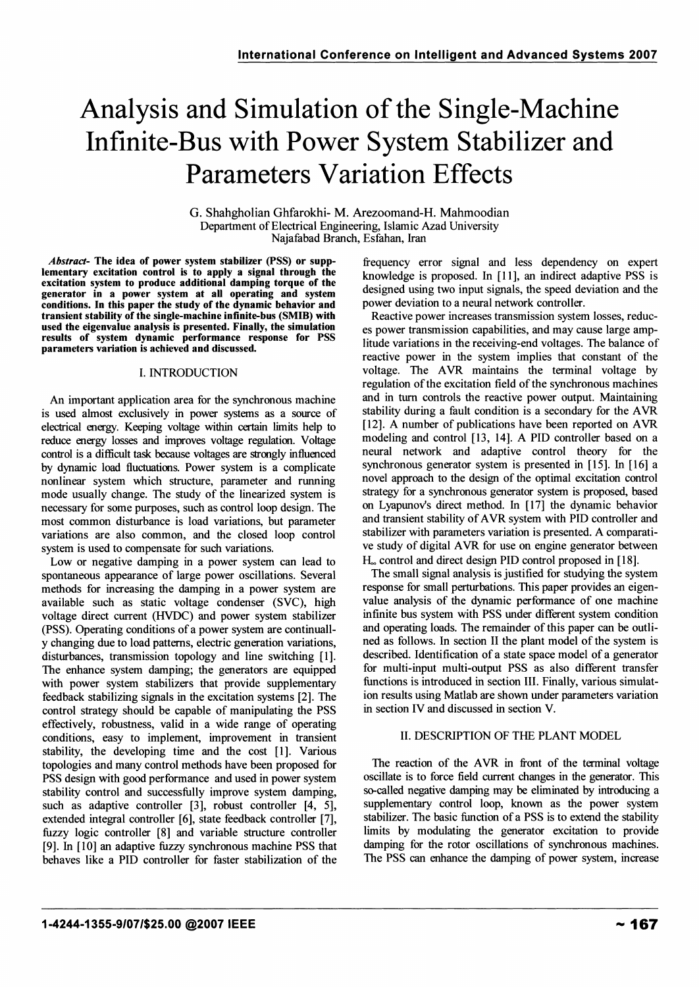# Analysis and Simulation of the Single-Machine Infinite-Bus with Power System Stabilizer and Parameters Variation Effects

G. Shahgholian Ghfarokhi- M. Arezoomand-H. Mahmoodian Department of Electrical Engineering, Islamic Azad University Najafabad Branch, Esfahan, Iran

*Abstract-* The idea of power system stabilizer (PSS) or supplementary excitation control is to apply a signal through the excitation system to produce additional damping torque of the generator in a power system at all operating and system conditions. In this paper the study of the dynamic behavior and transient stability of the single-machine infinite-bus (SMIB) with used the eigenvalue analysis is presented. Finally, the simulation results of system dynamic performance response for PSS parameters variation is achieved and discussed.

### I. INTRODUCTION

An important application area for the synchronous machine is used almost exclusively in power systems as a source of electrical energy. Keeping voltage within certain limits help to reduce energy losses and improves voltage regulation. Voltage control is a difficult task because voltages are strongly influenced by dynamic load fluctuations. Power system is a complicate nonlinear system which structure, parameter and running mode usually change. The study of the linearized system is necessary for some purposes, such as control loop design. The most common disturbance is load variations, but parameter variations are also common, and the closed loop control system is used to compensate for such variations.

Low or negative damping in a power system can lead to spontaneous appearance of large power oscillations. Several methods for increasing the damping in a power system are available such as static voltage condenser (SVC), high voltage direct current (HYDC) and power system stabilizer (PSS). Operating conditions of a power system are continually changing due to load patterns, electric generation variations, disturbances, transmission topology and line switching [1]. The enhance system damping; the generators are equipped with power system stabilizers that provide supplementary feedback stabilizing signals in the excitation systems [2]. The control strategy should be capable of manipulating the PSS effectively, robustness, valid in a wide range of operating conditions, easy to implement, improvement in transient stability, the developing time and the cost [1]. Various topologies and many control methods have been proposed for PSS design with good performance and used in power system stability control and successfully improve system damping, such as adaptive controller [3], robust controller [4, 5], extended integral controller [6], state feedback controller [7], fuzzy logic controller [8] and variable structure controller [9]. In [10] an adaptive fuzzy synchronous machine PSS that behaves like a PID controller for faster stabilization of the

frequency error signal and less dependency on expert knowledge is proposed. In [11], an indirect adaptive PSS is designed using two input signals, the speed deviation and the power deviation to a neural network controller.

Reactive power increases transmission system losses, reduces power transmission capabilities, and may cause large amplitude variations in the receiving-end voltages. The balance of reactive power in the system implies that constant of the voltage. The AVR maintains the terminal voltage by regulation of the excitation field of the synchronous machines and in turn controls the reactive power output. Maintaining stability during a fault condition is a secondary for the AVR [12]. A number of publications have been reported on AVR modeling and control [13, 14]. A PID controller based on a neural network and adaptive control theory for the synchronous generator system is presented in [15]. In [16] a novel approach to the design of the optimal excitation control strategy for a synchronous generator system is proposed, based on Lyapunov's direct method. In [17] the dynamic behavior and transient stability of AVR system with PID controller and stabilizer with parameters variation is presented. A comparative study of digital AVR for use on engine generator between  $H<sub>th</sub>$  control and direct design PID control proposed in [18].

The small signal analysis is justified for studying the system response for small perturbations. This paper provides an eigenvalue analysis of the dynamic performance of one machine infinite bus system with PSS under different system condition and operating loads. The remainder of this paper can be outlined as follows. In section II the plant model of the system is described. Identification of a state space model of a generator for multi-input multi-output PSS as also different transfer functions is introduced in section III. Finally, various simulation results using Matlab are shown under parameters variation in section IV and discussed in section V.

# II. DESCRIPTION OF THE PLANT MODEL

The reaction of the AVR in front of the terminal voltage oscillate is to force field current changes in the generator. This so-called negative damping may be eliminated by introducing a supplementary control loop, known as the power system stabilizer. The basic function of a PSS is to extend the stability limits by modulating the generator excitation to provide damping for the rotor oscillations of synchronous machines. The PSS can enhance the damping of power system, increase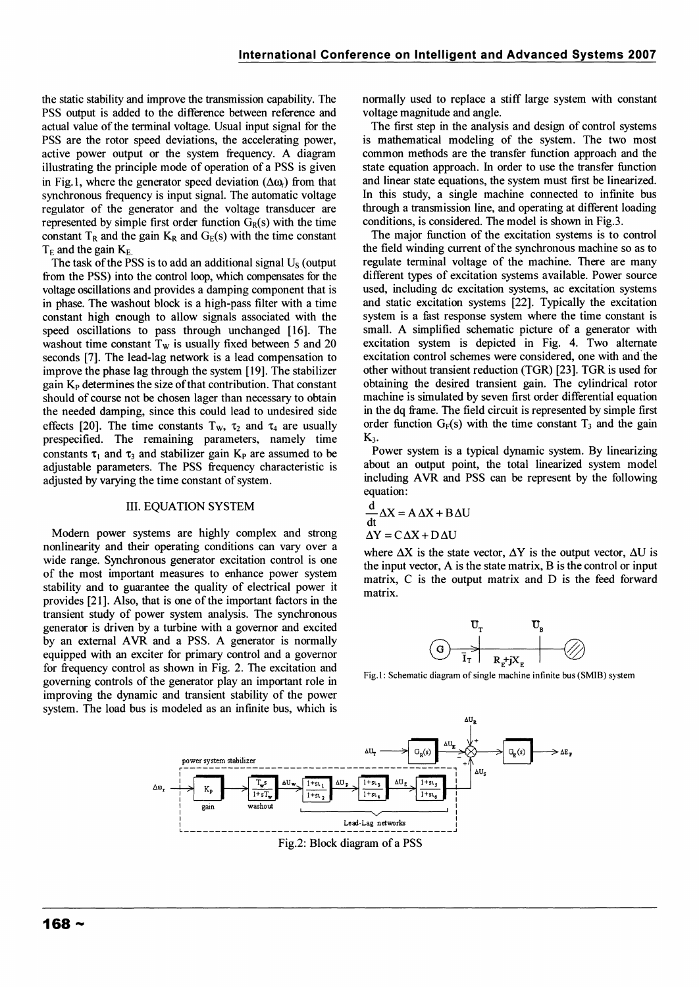the static stability and improve the transmission capability. The PSS output is added to the difference between reference and actual value of the terminal voltage. Usual input signal for the PSS are the rotor speed deviations, the accelerating power, active power output or the system frequency. A diagram illustrating the principle mode of operation of a PSS is given in Fig.1, where the generator speed deviation  $(\Delta\omega)$  from that synchronous frequency is input signal. The automatic voltage regulator of the generator and the voltage transducer are represented by simple first order function  $G_R(s)$  with the time constant  $T_R$  and the gain  $K_R$  and  $G_E(s)$  with the time constant  $T<sub>E</sub>$  and the gain  $K<sub>E</sub>$ .

The task of the PSS is to add an additional signal  $U_s$  (output from the PSS) into the control loop, which compensates for the voltage oscillations and provides a damping component that is in phase. The washout block is a high-pass filter with a time constant high enough to allow signals associated with the speed oscillations to pass through unchanged [16]. The washout time constant  $T_w$  is usually fixed between 5 and 20 seconds [7]. The lead-lag network is a lead compensation to improve the phase lag through the system [19]. The stabilizer gain  $K_{P}$  determines the size of that contribution. That constant should of course not be chosen lager than necessary to obtain the needed damping, since this could lead to undesired side effects [20]. The time constants T<sub>w</sub>,  $\tau_2$  and  $\tau_4$  are usually prespecified. The remaining parameters, namely time constants  $\tau_1$  and  $\tau_3$  and stabilizer gain K<sub>p</sub> are assumed to be adjustable parameters. The PSS frequency characteristic is adjusted by varying the time constant of system.

#### III. EQUATION SYSTEM

Modem power systems are highly complex and strong nonlinearity and their operating conditions can vary over a wide range. Synchronous generator excitation control is one of the most important measures to enhance power system stability and to guarantee the quality of electrical power it provides [21]. Also, that is one of the important factors in the transient study of power system analysis. The synchronous generator is driven by a turbine with a governor and excited by an external AVR and a PSS. A generator is normally equipped with an exciter for primary control and a governor for frequency control as shown in Fig. 2. The excitation and governing controls of the generator play an important role in improving the dynamic and transient stability of the power system. The load bus is modeled as an infmite bus, which is normally used to replace a stiff large system with constant voltage magnitude and angle.

The first step in the analysis and design of control systems is mathematical modeling of the system. The two most common methods are the transfer function approach and the state equation approach. In order to use the transfer function and linear state equations, the system must first be linearized. In this study, a single machine connected to infmite bus through a transmission line, and operating at different loading conditions, is considered. The model is shown in Fig.3.

The major function of the excitation systems is to control the field winding current of the synchronous machine so as to regulate terminal voltage of the machine. There are many different types of excitation systems available. Power source used, including dc excitation systems, ac excitation systems and static excitation systems [22]. Typically the excitation system is a fast response system where the time constant is small. A simplified schematic picture of a generator with excitation system is depicted in Fig. 4. Two alternate excitation control schemes were considered, one with and'the other without transient reduction (TGR) [23]. TGR is used for obtaining the desired transient gain. The cylindrical rotor machine is simulated by seven first order differential equation in the dq frame. The field circuit is represented by simple first order function  $G_F(s)$  with the time constant  $T_3$  and the gain  $K<sub>3</sub>$ 

Power system is a typical dynamic system. By linearizing about an output point, the total linearized system model including AVR and PSS can be represent by the following equation:

$$
\frac{d}{dt} \Delta X = A \Delta X + B \Delta U
$$

$$
\Delta Y = C \Delta X + D \Delta U
$$

where  $\Delta X$  is the state vector,  $\Delta Y$  is the output vector,  $\Delta U$  is the input vector, A is the state matrix, B is the control or input matrix, C is the output matrix and D is the feed forward matrix.



Fig.1: Schematic diagram of single machine infinite bus (SMIB) system



Fig.2: Block diagram of a PSS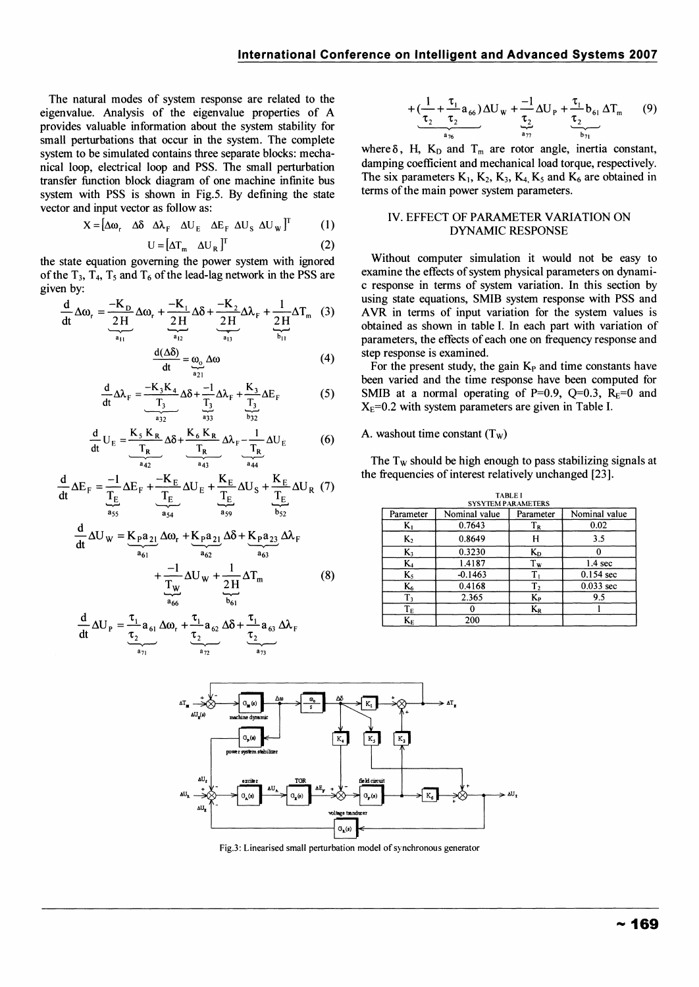The natural modes of system response are related to the eigenvalue. Analysis of the eigenvalue properties of A provides valuable information about the system stability for small perturbations that occur in the system. The complete system to be simulated contains three separate blocks: mechanical loop, electrical loop and PSS. The small perturbation transfer function block diagram of one machine infinite bus system with PSS is shown in Fig.5. By defining the state vector and input vector as follow as:

$$
X = [\Delta \omega_r \quad \Delta \delta \quad \Delta \lambda_F \quad \Delta U_E \quad \Delta E_F \quad \Delta U_S \quad \Delta U_W]^T \tag{1}
$$

$$
U = [\Delta T_m \quad \Delta U_R]^T
$$
 (2)

the state equation governing the power system with ignored of the  $T_3$ ,  $T_4$ ,  $T_5$  and  $T_6$  of the lead-lag network in the PSS are given by:

$$
\frac{d}{dt}\Delta\omega_r = \frac{-K_D}{2H}\Delta\omega_r + \frac{-K_L}{2H}\Delta\delta + \frac{-K_2}{2H}\Delta\lambda_r + \frac{1}{2H}\Delta T_m
$$
 (3)

$$
\frac{d(\Delta\delta)}{dt} = \underbrace{\omega_{0}}_{\text{0}} \Delta\omega
$$
 (4)

$$
\frac{d}{dt}\Delta\lambda_F = \frac{-K_3K_4}{T_3}\Delta\delta + \frac{-1}{T_3}\Delta\lambda_F + \frac{K_3}{T_3}\Delta E_F
$$
 (5)

$$
\frac{d}{dt}U_E = \frac{K_5 K_R}{T_R} \Delta\delta + \frac{K_6 K_R}{T_R} \Delta\lambda_F - \frac{1}{T_R} \Delta U_E
$$
 (6)

$$
\frac{dt}{dt} = \frac{T_R}{\frac{a_{42}}{a_{43}}} = \frac{T_R}{\frac{a_{44}}{a_{44}}} = \frac{T_R}{\frac{a_{44}}{a_{44}}} = \frac{1}{\frac{a_{44}}{a_{44}}} = \frac{1}{\frac{a_{44}}{a_{44}}} = \frac{1}{\frac{a_{44}}{a_{44}}} = \frac{1}{\frac{a_{44}}{a_{44}}} = \frac{1}{\frac{a_{44}}{a_{44}}} = \frac{1}{\frac{a_{44}}{a_{44}}} = \frac{1}{\frac{a_{44}}{a_{44}}} = \frac{1}{\frac{a_{44}}{a_{44}}} = \frac{1}{\frac{a_{44}}{a_{44}}} = \frac{1}{\frac{a_{44}}{a_{44}}} = \frac{1}{\frac{a_{44}}{a_{44}}} = \frac{1}{\frac{a_{44}}{a_{44}}} = \frac{1}{\frac{a_{44}}{a_{44}}} = \frac{1}{\frac{a_{44}}{a_{44}}} = \frac{1}{\frac{a_{44}}{a_{44}}} = \frac{1}{\frac{a_{44}}{a_{44}}} = \frac{1}{\frac{a_{44}}{a_{44}}} = \frac{1}{\frac{a_{44}}{a_{44}}} = \frac{1}{\frac{a_{44}}{a_{44}}} = \frac{1}{\frac{a_{44}}{a_{44}}} = \frac{1}{\frac{a_{44}}{a_{44}}} = \frac{1}{\frac{a_{44}}{a_{44}}} = \frac{1}{\frac{a_{44}}{a_{44}}} = \frac{1}{\frac{a_{44}}{a_{44}}} = \frac{1}{\frac{a_{44}}{a_{44}}} = \frac{1}{\frac{a_{44}}{a_{44}}} = \frac{1}{\frac{a_{44}}{a_{44}}} = \frac{1}{\frac{a_{44}}{a_{44}}} = \frac{1}{\frac{a_{44}}{a_{44}}} = \frac{1}{\frac{a_{44}}{a_{44}}} = \frac{1}{\frac{a_{44}}{a_{44}}} = \frac{1}{\frac{a_{44}}{a_{44}}} = \frac{1}{\frac{a_{44}}{a_{44}}} = \frac{1}{\frac{a_{44}}{a_{44}}} = \frac{1}{\frac{a_{44
$$

$$
\frac{d}{dt}\Delta E_F = \frac{-1}{\underline{T_E}}\Delta E_F + \frac{-K_E}{\underline{T_E}}\Delta U_E + \frac{K_E}{\underline{T_E}}\Delta U_S + \frac{K_E}{\underline{T_E}}\Delta U_R
$$
 (7)

$$
\frac{d}{dt} \Delta U_W = \underbrace{K_{P}a_{21}}_{a_{61}} \Delta \omega_r + \underbrace{K_{P}a_{21}}_{a_{62}} \Delta \delta + \underbrace{K_{P}a_{23}}_{a_{63}} \Delta \lambda_F
$$
\n
$$
+ \underbrace{\frac{-1}{T_W}}_{a_{66}} \Delta U_W + \underbrace{\frac{1}{2H}}_{b_{61}} \Delta T_m \tag{8}
$$

$$
\frac{d}{dt} \Delta U_{P} = \underbrace{\frac{\tau_{1}}{\tau_{2}}}_{a_{\tau_{1}}} a_{61} \Delta \omega_{r} + \underbrace{\frac{\tau_{1}}{\tau_{2}}}_{a_{\tau_{2}}} a_{62} \Delta \delta + \underbrace{\frac{\tau_{1}}{\tau_{2}}}_{a_{\tau_{3}}} a_{63} \Delta \lambda_{F}
$$

$$
+\underbrace{\left(\frac{1}{\tau_2}+\frac{\tau_1}{\tau_2}a_{66}\right)}_{a_{72}}\Delta U_w+\underbrace{\frac{-1}{\tau_2}}_{a_{77}}\Delta U_p+\underbrace{\frac{\tau_1}{\tau_2}b_{61}}_{b_{71}}\Delta T_m\qquad(9)
$$

where  $\delta$ , H, K<sub>D</sub> and T<sub>m</sub> are rotor angle, inertia constant, damping coefficient and mechanical load torque, respectively. The six parameters  $K_1$ ,  $K_2$ ,  $K_3$ ,  $K_4$ ,  $K_5$  and  $K_6$  are obtained in terms of the main power system parameters.

#### IV. EFFECT OF PARAMETER VARIATION ON **DYNAMIC RESPONSE**

Without computer simulation it would not be easy to examine the effects of system physical parameters on dynamic response in terms of system variation. In this section by using state equations, SMIB system response with PSS and AVR in terms of input variation for the system values is obtained as shown in table I. In each part with variation of parameters, the effects of each one on frequency response and step response is examined.

For the present study, the gain  $K_P$  and time constants have been varied and the time response have been computed for SMIB at a normal operating of P=0.9, Q=0.3,  $R_F=0$  and  $X_F$ =0.2 with system parameters are given in Table I.

#### A. washout time constant  $(T_w)$

The  $T_w$  should be high enough to pass stabilizing signals at the frequencies of interest relatively unchanged [23].  $\overline{a}$  ,  $\overline{a}$  ,  $\overline{a}$  ,  $\overline{a}$ 

| IABLE I<br><b>SYSYTEM PARAMETERS</b> |               |                |                   |  |
|--------------------------------------|---------------|----------------|-------------------|--|
| Parameter                            | Nominal value | Parameter      | Nominal value     |  |
| $K_1$                                | 0.7643        | Tĸ             | 0.02              |  |
| $K_2$                                | 0.8649        | н              | 3.5               |  |
| $K_3$                                | 0.3230        | K <sub>D</sub> |                   |  |
| K4                                   | 1.4187        | Tw             | $1.4 \text{ sec}$ |  |
| K5                                   | $-0.1463$     | Tı             | $0.154$ sec       |  |
| K6                                   | 0.4168        | $\mathrm{T}_2$ | $0.033$ sec       |  |
| T <sub>3</sub>                       | 2.365         | Kр             | 9.5               |  |
| $\rm T_E$                            |               | $K_R$          |                   |  |
| Kғ                                   | 200           |                |                   |  |



Fig.3: Linearised small perturbation model of synchronous generator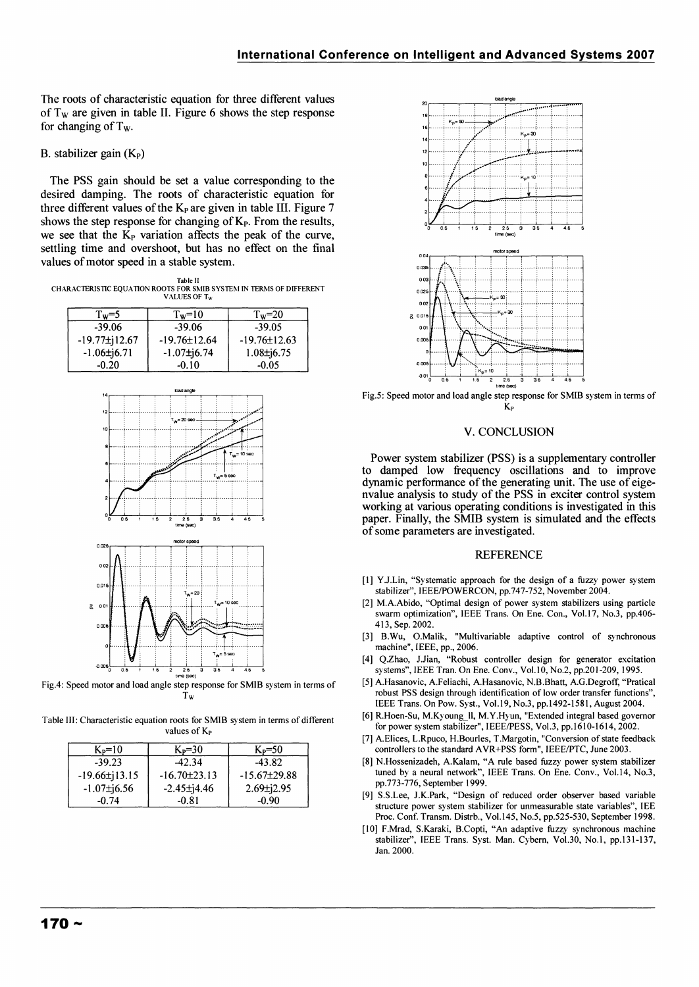The roots of characteristic equation for three different values of  $T_w$  are given in table II. Figure 6 shows the step response for changing of  $T_w$ .

## B. stabilizer gain  $(K_P)$

The PSS gain should be set a value corresponding to the desired damping. The roots of characteristic equation for three different values of the  $K_p$  are given in table III. Figure 7 shows the step response for changing of  $K_{P}$ . From the results, we see that the K<sup>p</sup> variation affects the peak of the curve, settling time and overshoot, but has no effect on the final values of motor speed in a stable system.

Table II<br>CHARACTERISTIC EQUATION ROOTS FOR SMIB SYSTEM IN TERMS OF DIFFERENT VALUES OF T<sub>w</sub>

| $T_w=5$            | $T_w=10$           | $T_w=20$           |
|--------------------|--------------------|--------------------|
| $-39.06$           | $-39.06$           | $-39.05$           |
| $-19.77 \pm 12.67$ | $-19.76 \pm 12.64$ | $-19.76 \pm 12.63$ |
| $-1.06 \pm 16.71$  | $-1.07 \pm 16.74$  | $1.08 \pm 16.75$   |
| $-0.20$            | $-0.10$            | $-0.05$            |



Fig.4: Speed motor and load angle step response for SMIB system in terms of Tw

Table III: Characteristic equation roots for SMIB system in terms of different values of K<sub>p</sub>

| $K_P=10$         | $K_P = 30$       | $K_P = 50$         |
|------------------|------------------|--------------------|
| $-39.23$         | $-42.34$         | $-43.82$           |
| $-19.66\pm13.15$ | $-16.70\pm23.13$ | $-15.67 \pm 29.88$ |
| $-1.07 \pm 6.56$ | $-2.45 \pm 4.46$ | $2.69\pm i2.95$    |
| $-0.74$          | $-0.81$          | $-0.90$            |



Fig.5: Speed motor and load angle step response for SMIB system in terms of  $K<sub>p</sub>$ 

# v. CONCLUSION

Power system stabilizer (PSS) is a supplementary controller to damped low frequency oscillations and to improve dynamic performance of the generating unit. The use of eigenvalue analysis to study of the PSS in exciter control system working at various operating conditions is investigated in this paper. Finally, the SMIB system is simulated and the effects of some parameters are investigated.

#### **REFERENCE**

- [1] Y.J.Lin, "Systematic approach for the design of a fuzzy power system stabilizer", IEEE/POWERCON, pp.747-752, November 2004.
- [2] M.A.Abido, "Optimal design of power system stabilizers using particle swarm optimization", IEEE Trans. On Ene. Con., VoL17, No.3, pp.406- 413, Sep. 2002.
- [3] B.Wu, O.Malik, "Multivariable adaptive control of synchronous machine", IEEE, pp., 2006.
- [4] Q.Zhao, J.Jian, "Robust controller design for generator excitation systems", IEEE Tran. On Ene. Conv., VoLI0, No.2, pp.201-209, 1995.
- [5] A.Hasanovic, A.Feliachi, A.Hasanovic, N.B.Bhatt, A.G.Degroff, "Pratical robust PSS design through identification of low order transfer functions", IEEE Trans. On Pow. Syst., Vo1.19, No.3, pp.1492-1581, August 2004.
- [6] R.Hoen-Su, M.Kyoung\_lI, M.Y.Hyun, "Extended integral based governor for power system stabilizer", IEEE/PESS, Vol.3, pp.1610-1614, 2002.
- [7] A.Elices, L.Rpuco, H.Bourles, T.Margotin, "Conversion of state feedback controllers to the standard AVR+PSS form", IEEE/PTC, June 2003.
- [8] N.Hossenizadeh, A.Kalam, "A rule based fuzzy power system stabilizer tuned by a neural network", IEEE Trans. On Ene. Conv., Vo1.14, No.3, pp.773-776, September 1999.
- [9] S.S.Lee, J.K.Park, "Design of reduced order observer based variable structure power system stabilizer for unmeasurable state variables", lEE Proc. Conf. Transm. Distrb., VoL145, No.5, pp.525-530, September 1998.
- [10] F.Mrad, S.Karaki, B.Copti, "An adaptive fuzzy synchronous machine stabilizer", IEEE Trans. Syst. Man. Cybern, Vo1.30, No.1, pp.131-137, Jan. 2000.